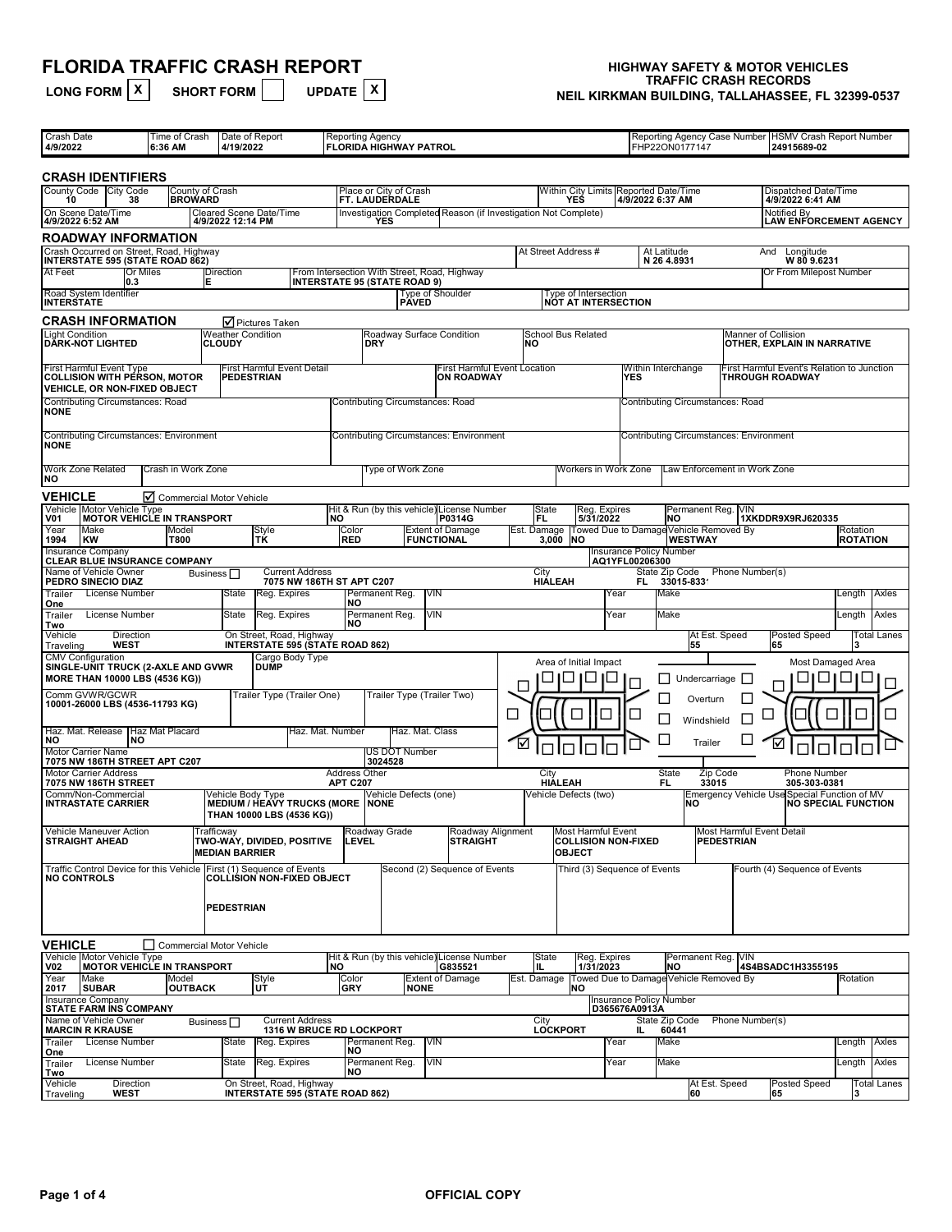## FLORIDA TRAFFIC CRASH REPORT

| LONG FORM $\overline{X}$ SHORT FORM | UPDATE $\vert x \vert$ |
|-------------------------------------|------------------------|
|                                     |                        |

| Crash Date<br>4/9/2022    |                                                           | Time of Crash<br>6:36 AM                                                          |                                   | Date of Report<br>4/19/2022               |                                                                                                           |                  | Reporting Agency                        | <b>FLORIDA HIGHWAY PATROL</b>                                                       |                   |                                                                |    |                      |                                                                   |                           |                                                 | FHP22ON0177147               |                              |                  | Reporting Agency Case Number   HSMV Crash Report Number<br>24915689-02     |          |                      |
|---------------------------|-----------------------------------------------------------|-----------------------------------------------------------------------------------|-----------------------------------|-------------------------------------------|-----------------------------------------------------------------------------------------------------------|------------------|-----------------------------------------|-------------------------------------------------------------------------------------|-------------------|----------------------------------------------------------------|----|----------------------|-------------------------------------------------------------------|---------------------------|-------------------------------------------------|------------------------------|------------------------------|------------------|----------------------------------------------------------------------------|----------|----------------------|
|                           | <b>CRASH IDENTIFIERS</b>                                  |                                                                                   |                                   |                                           |                                                                                                           |                  |                                         |                                                                                     |                   |                                                                |    |                      |                                                                   |                           |                                                 |                              |                              |                  |                                                                            |          |                      |
| 10                        | County Code City Code                                     | 38                                                                                | County of Crash<br><b>BROWARD</b> |                                           |                                                                                                           |                  |                                         | Place or City of Crash<br>FT. LAUDERDALE                                            |                   |                                                                |    |                      | Within City Limits Reported Date/Time<br><b>YES</b>               |                           | 4/9/2022 6:37 AM                                |                              |                              |                  | Dispatched Date/Time<br>4/9/2022 6:41 AM                                   |          |                      |
|                           | On Scene Date/Time<br>4/9/2022 6:52 AM                    |                                                                                   |                                   |                                           | Cleared Scene Date/Time<br>4/9/2022 12:14 PM                                                              |                  |                                         | <b>YES</b>                                                                          |                   | Investigation Completed Reason (if Investigation Not Complete) |    |                      |                                                                   |                           |                                                 |                              |                              |                  | Notified By<br>LAW ENFORCEMENT AGENCY                                      |          |                      |
|                           |                                                           | <b>ROADWAY INFORMATION</b>                                                        |                                   |                                           |                                                                                                           |                  |                                         |                                                                                     |                   |                                                                |    |                      |                                                                   |                           |                                                 |                              |                              |                  |                                                                            |          |                      |
|                           |                                                           | Crash Occurred on Street, Road, Highway<br><b>INTERSTATE 595 (STATE ROAD 862)</b> |                                   |                                           |                                                                                                           |                  |                                         |                                                                                     |                   |                                                                |    |                      | At Street Address #                                               |                           |                                                 | At Latitude<br>N 26 4.8931   |                              |                  | And Longitude<br>W 80 9.6231                                               |          |                      |
| At Feet                   |                                                           | Or Miles<br>10.3                                                                  |                                   | <b>Direction</b>                          |                                                                                                           |                  |                                         | From Intersection With Street, Road, Highway<br><b>INTERSTATE 95 (STATE ROAD 9)</b> |                   |                                                                |    |                      |                                                                   |                           |                                                 |                              |                              |                  | Or From Milepost Number                                                    |          |                      |
| <b>INTERSTATE</b>         | Road System Identifier                                    |                                                                                   |                                   |                                           |                                                                                                           |                  |                                         | <b>PAVED</b>                                                                        |                   | <b>Type of Shoulder</b>                                        |    |                      | Type of Intersection<br>NOT AT INTERSECTION                       |                           |                                                 |                              |                              |                  |                                                                            |          |                      |
|                           | <b>CRASH INFORMATION</b>                                  |                                                                                   |                                   |                                           | √ Pictures Taken                                                                                          |                  |                                         |                                                                                     |                   |                                                                |    |                      |                                                                   |                           |                                                 |                              |                              |                  |                                                                            |          |                      |
| <b>Light Condition</b>    | DĂRK-NOT LIGHTED                                          |                                                                                   |                                   | <b>Weather Condition</b><br><b>CLOUDY</b> |                                                                                                           |                  | <b>DRY</b>                              | Roadway Surface Condition                                                           |                   |                                                                | NO |                      | School Bus Related                                                |                           |                                                 |                              |                              |                  | Manner of Collision<br>OTHER. EXPLAIN IN NARRATIVE                         |          |                      |
|                           | First Harmful Event Type                                  | <b>COLLISION WITH PÉRSON, MOTOR</b><br>VEHICLE, OR NON-FIXED OBJECT               |                                   | PEDESTRIAN                                | First Harmful Event Detail                                                                                |                  |                                         |                                                                                     |                   | First Harmful Event Location<br>ON ROADWAY                     |    |                      |                                                                   |                           | Within Interchange<br>YES                       |                              |                              |                  | First Harmful Event's Relation to Junction<br>THROUGH ROADWAY              |          |                      |
| <b>NONE</b>               |                                                           | Contributing Circumstances: Road                                                  |                                   |                                           |                                                                                                           |                  |                                         | Contributing Circumstances: Road                                                    |                   |                                                                |    |                      |                                                                   |                           | Contributing Circumstances: Road                |                              |                              |                  |                                                                            |          |                      |
| <b>NONE</b>               |                                                           | <b>Contributing Circumstances: Environment</b>                                    |                                   |                                           |                                                                                                           |                  |                                         |                                                                                     |                   | Contributing Circumstances: Environment                        |    |                      |                                                                   |                           | <b>Contributing Circumstances: Environment</b>  |                              |                              |                  |                                                                            |          |                      |
| NO                        | <b>Work Zone Related</b>                                  | Crash in Work Zone                                                                |                                   |                                           |                                                                                                           |                  |                                         | Type of Work Zone                                                                   |                   |                                                                |    |                      | Workers in Work Zone                                              |                           |                                                 |                              | Law Enforcement in Work Zone |                  |                                                                            |          |                      |
| VEHICLE                   |                                                           | √ Commercial Motor Vehicle                                                        |                                   |                                           |                                                                                                           |                  |                                         |                                                                                     |                   |                                                                |    |                      |                                                                   |                           |                                                 |                              |                              |                  |                                                                            |          |                      |
| V01                       | Vehicle Motor Vehicle Type                                | <b>MOTOR VEHICLE IN TRANSPORT</b>                                                 |                                   |                                           |                                                                                                           | <b>NO</b>        |                                         |                                                                                     |                   | Hit & Run (by this vehicle) License Number<br>P0314G           |    | State<br>FL.         |                                                                   | Reg. Expires<br>5/31/2022 |                                                 | NO                           | Permanent Reg. VIN           |                  | 1XKDDR9X9RJ620335                                                          |          |                      |
| Year<br>1994              | Make<br>KW                                                | Model<br>T800                                                                     |                                   |                                           | Style<br>TK                                                                                               |                  | Color<br><b>RED</b>                     |                                                                                     | <b>FUNCTIONAL</b> | <b>Extent of Damage</b>                                        |    | Est. Damage<br>3,000 | NO                                                                |                           | Towed Due to Damage Vehicle Removed By          | <b>WESTWAY</b>               |                              |                  |                                                                            | Rotation | <b>ROTATION</b>      |
|                           | Insurance Company                                         | <b>CLEAR BLUE INSÚRANCE COMPANY</b>                                               |                                   |                                           |                                                                                                           |                  |                                         |                                                                                     |                   |                                                                |    |                      |                                                                   |                           | Insurance Policy Number<br>AQ1YFL00206300       |                              |                              |                  |                                                                            |          |                      |
|                           | Name of Vehicle Owner<br>PEDRO SINECIO DIAZ               |                                                                                   | Business $\Box$                   |                                           | <b>Current Address</b><br>7075 NW 186TH ST APT C207                                                       |                  |                                         |                                                                                     |                   |                                                                |    | City<br>HIÁLEAH      |                                                                   |                           | FL.                                             | State Zip Code<br>33015-8331 |                              | Phone Number(s)  |                                                                            |          |                      |
| Trailer<br>One            | <b>License Number</b>                                     |                                                                                   |                                   | State                                     | Reg. Expires                                                                                              |                  | NΟ                                      | Permanent Reg.<br>Permanent Req.                                                    | VIN<br>VIN        |                                                                |    |                      |                                                                   | Year                      |                                                 | Make                         |                              |                  |                                                                            | Length   | Axles                |
| Trailer<br>Two<br>Vehicle | License Number<br>Direction                               |                                                                                   |                                   | State                                     | Reg. Expires<br>On Street, Road, Highway                                                                  |                  | <b>NO</b>                               |                                                                                     |                   |                                                                |    |                      |                                                                   | Year                      |                                                 | Make                         | At Est. Speed                |                  | <b>Posted Speed</b>                                                        | Length   | Axles<br>Total Lanes |
| Traveling                 | <b>WEST</b><br><b>CMV Configuration</b>                   |                                                                                   |                                   |                                           | <b>INTERSTATE 595 (STATE ROAD 862)</b><br>Cargo Body Type                                                 |                  |                                         |                                                                                     |                   |                                                                |    |                      |                                                                   |                           |                                                 |                              | 55                           |                  | 65                                                                         | 3        |                      |
|                           |                                                           | SINGLE-UNIT TRUCK (2-AXLE AND GVWR<br>MORE THAN 10000 LBS (4536 KG))              |                                   |                                           | <b>DUMP</b>                                                                                               |                  |                                         |                                                                                     |                   |                                                                |    |                      | Area of Initial Impact                                            |                           |                                                 | П                            | Undercarriage $\Box$         |                  | Most Damaged Area                                                          |          |                      |
|                           | Comm GVWR/GCWR                                            | 10001-26000 LBS (4536-11793 KG)                                                   |                                   |                                           | Trailer Type (Trailer One)                                                                                |                  |                                         | Trailer Type (Trailer Two)                                                          |                   |                                                                | П  |                      | U                                                                 |                           | $\Box$                                          | $\overline{\phantom{a}}$     | Overturn                     | $\Box$           |                                                                            |          |                      |
| <b>NO</b>                 |                                                           | Haz. Mat. Release   Haz Mat Placard<br><b>NO</b>                                  |                                   |                                           |                                                                                                           | Haz. Mat. Number |                                         | Haz. Mat. Class                                                                     |                   |                                                                | M  |                      |                                                                   |                           |                                                 | □<br>□                       | Windshield<br>Trailer        | $\Box$<br>$\Box$ | ⋈                                                                          |          |                      |
|                           | <b>Motor Carrier Name</b>                                 | 7075 NW 186TH STREET APT C207                                                     |                                   |                                           |                                                                                                           |                  |                                         | US DOT Number<br>3024528                                                            |                   |                                                                |    |                      |                                                                   |                           |                                                 |                              |                              |                  |                                                                            |          |                      |
|                           | <b>Motor Carrier Address</b><br>7075 NW 186TH STREET      |                                                                                   |                                   |                                           |                                                                                                           |                  | <b>Address Other</b><br><b>APT C207</b> |                                                                                     |                   |                                                                |    | City                 | <b>HIALEAH</b>                                                    |                           |                                                 | <b>State</b><br>FL.          | Zip Code<br>33015            |                  | <b>Phone Number</b><br>305 303 0381                                        |          |                      |
|                           | Comm/Non-Commercial<br><b>INTRASTATE CARRIER</b>          |                                                                                   |                                   | Vehicle Body Type                         | <b>MEDIUM / HEAVY TRUCKS (MORE NONE</b><br>THAN 10000 LBS (4536 KG))                                      |                  |                                         | √ehicle Defects (one)                                                               |                   |                                                                |    |                      | Vehicle Defects (two)                                             |                           |                                                 | INO                          |                              |                  | Emergency Vehicle UselSpecial Function of MV<br><b>NO SPECIAL FUNCTION</b> |          |                      |
|                           | Vehicle Maneuver Action<br><b>STRAIGHT AHEAD</b>          |                                                                                   | Trafficway                        | <b>MEDIAN BARRIER</b>                     | TWO-WAY, DIVIDED, POSITIVE                                                                                |                  | <b>LEVEL</b>                            | Roadway Grade                                                                       |                   | Roadway Alignment<br><b>STRAIGHT</b>                           |    |                      | Most Harmful Event<br><b>COLLISION NON-FIXED</b><br><b>OBJECT</b> |                           |                                                 |                              | <b>PEDESTRIAN</b>            |                  | Most Harmful Event Detail                                                  |          |                      |
| <b>NO CONTROLS</b>        |                                                           |                                                                                   |                                   |                                           | Traffic Control Device for this Vehicle First (1) Sequence of Events<br><b>COLLISION NON-FIXED OBJECT</b> |                  |                                         |                                                                                     |                   | Second (2) Sequence of Events                                  |    |                      |                                                                   |                           | Third (3) Sequence of Events                    |                              |                              |                  | Fourth (4) Sequence of Events                                              |          |                      |
|                           |                                                           |                                                                                   |                                   | PEDESTRIAN                                |                                                                                                           |                  |                                         |                                                                                     |                   |                                                                |    |                      |                                                                   |                           |                                                 |                              |                              |                  |                                                                            |          |                      |
| <b>VEHICLE</b>            |                                                           | Commercial Motor Vehicle                                                          |                                   |                                           |                                                                                                           |                  |                                         |                                                                                     |                   |                                                                |    |                      |                                                                   |                           |                                                 |                              |                              |                  |                                                                            |          |                      |
| V02                       | Vehicle Motor Vehicle Type                                | <b>MOTOR VEHICLE IN TRANSPORT</b>                                                 |                                   |                                           |                                                                                                           | <b>NO</b>        |                                         |                                                                                     |                   | Hit & Run (by this vehicle) License Number<br>G835521          |    | State<br>IL          |                                                                   | Reg. Expires<br>1/31/2023 |                                                 | NO                           | Permanent Reg. VIN           |                  | 4S4BSADC1H3355195                                                          |          |                      |
| Year<br>2017              | Make<br><b>SUBAR</b>                                      | Model                                                                             | <b>OUTBACK</b>                    |                                           | Style<br>UT                                                                                               |                  | Color<br>GRY                            | <b>NONE</b>                                                                         |                   | <b>Extent of Damage</b>                                        |    | Est. Damage          | NO                                                                |                           | Towed Due to Damage Vehicle Removed By          |                              |                              |                  |                                                                            | Rotation |                      |
|                           | <b>Insurance Company</b><br><b>STATE FARM INS COMPANY</b> |                                                                                   |                                   |                                           |                                                                                                           |                  |                                         |                                                                                     |                   |                                                                |    |                      |                                                                   |                           | <b>Insurance Policy Number</b><br>D365676A0913A |                              |                              |                  |                                                                            |          |                      |
|                           | Name of Vehicle Owner<br><b>MARCIN R KRAUSE</b>           |                                                                                   | Business $\Box$                   |                                           | <b>Current Address</b><br>1316 W BRUCE RD LOCKPORT                                                        |                  |                                         |                                                                                     |                   |                                                                |    | City                 | <b>LOCKPORT</b>                                                   |                           | IL.                                             | State Zip Code<br>60441      |                              | Phone Number(s)  |                                                                            |          |                      |
| Trailer<br>One            | License Number                                            |                                                                                   |                                   | State                                     | Reg. Expires                                                                                              |                  | NO                                      | Permanent Reg.                                                                      | VIN               |                                                                |    |                      |                                                                   | Year                      |                                                 | Make                         |                              |                  |                                                                            |          | Length   Axles       |
| Trailer<br>Two            | License Number                                            |                                                                                   |                                   | State                                     | Reg. Expires                                                                                              |                  | NO                                      | Permanent Reg.                                                                      | VIN               |                                                                |    |                      |                                                                   | Year                      |                                                 | Make                         |                              |                  |                                                                            | Length   | Axles                |
| Vehicle<br>Traveling      | <b>WEST</b>                                               | Direction                                                                         |                                   |                                           | On Street, Road, Highway<br><b>INTERSTATE 595 (STATE ROAD 862)</b>                                        |                  |                                         |                                                                                     |                   |                                                                |    |                      |                                                                   |                           |                                                 |                              | At Est. Speed<br>60          |                  | Posted Speed<br>65                                                         | 3        | <b>Total Lanes</b>   |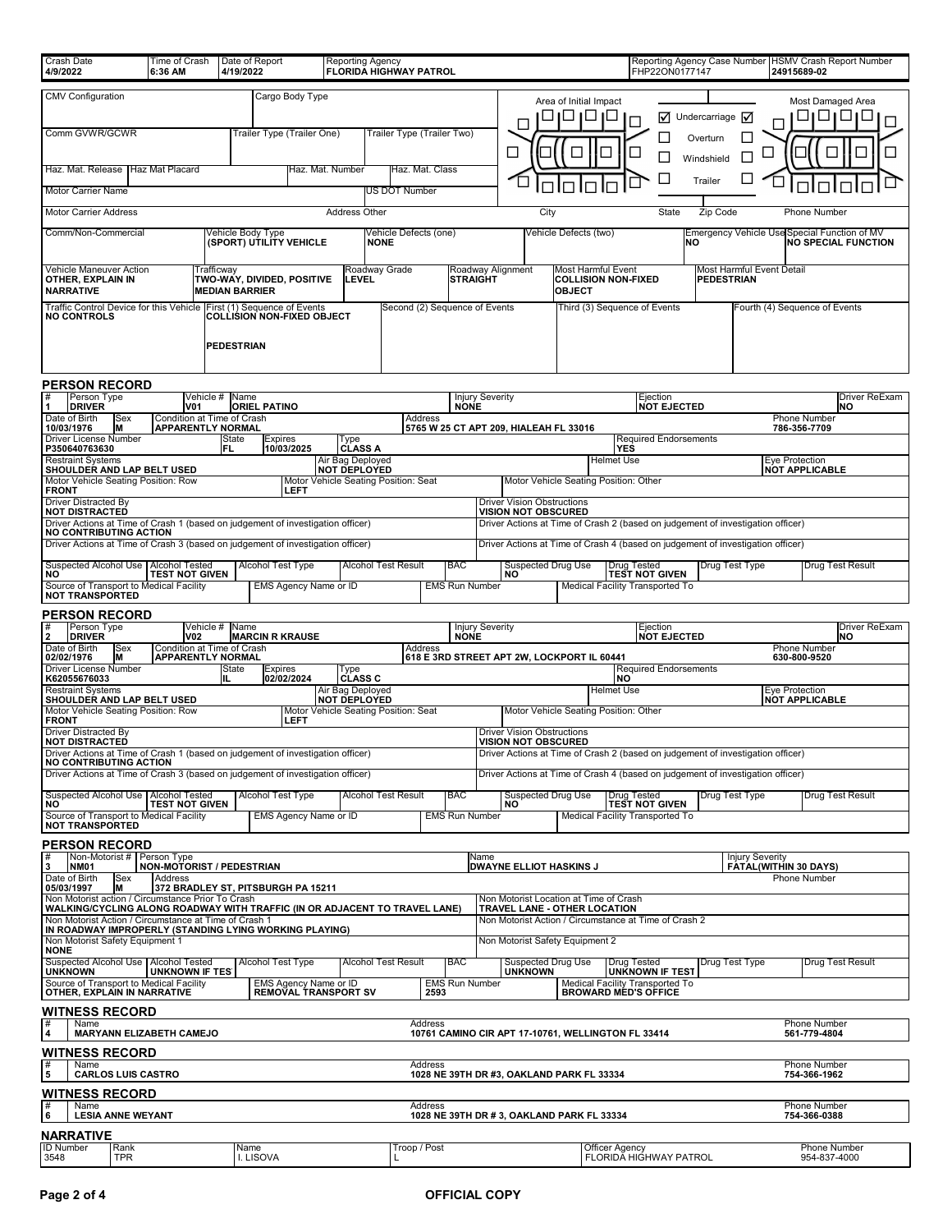| Crash Date<br>4/9/2022                                                                                                          | Time of Crash<br>6:36 AM                                       |                                     | Date of Report<br>4/19/2022                  | <b>Reporting Agency</b>                                      | <b>FLORIDA HIGHWAY PATROL</b> |                                       |                                                                        |                                     | FHP22ON0177147                                                                  |                         |                           | Reporting Agency Case Number   HSMV Crash Report Number<br>24915689-02      |
|---------------------------------------------------------------------------------------------------------------------------------|----------------------------------------------------------------|-------------------------------------|----------------------------------------------|--------------------------------------------------------------|-------------------------------|---------------------------------------|------------------------------------------------------------------------|-------------------------------------|---------------------------------------------------------------------------------|-------------------------|---------------------------|-----------------------------------------------------------------------------|
| <b>CMV Configuration</b>                                                                                                        |                                                                |                                     | Cargo Body Type                              |                                                              |                               |                                       |                                                                        | Area of Initial Impact              |                                                                                 |                         |                           | Most Damaged Area                                                           |
|                                                                                                                                 |                                                                |                                     |                                              |                                                              |                               |                                       |                                                                        |                                     | ☑                                                                               | Undercarriage $\sqrt{}$ |                           |                                                                             |
| Comm GVWR/GCWR                                                                                                                  |                                                                |                                     | Trailer Type (Trailer One)                   |                                                              | Trailer Type (Trailer Two)    |                                       | ⊔                                                                      | ⊔                                   | ⊔<br>Ш                                                                          | Overturn<br>Windshield  | ப<br>$\Box$               | Ш<br>ப                                                                      |
| Haz. Mat. Release   Haz Mat Placard                                                                                             |                                                                |                                     |                                              | Haz. Mat. Number                                             | Haz. Mat. Class               |                                       |                                                                        |                                     | ┙                                                                               | Trailer                 |                           |                                                                             |
| <b>Motor Carrier Name</b>                                                                                                       |                                                                |                                     |                                              |                                                              | <b>US DOT Number</b>          |                                       |                                                                        |                                     |                                                                                 |                         |                           |                                                                             |
| <b>Motor Carrier Address</b>                                                                                                    |                                                                |                                     |                                              | <b>Address Other</b>                                         |                               |                                       | City                                                                   |                                     | State                                                                           | Zip Code                |                           | <b>Phone Number</b>                                                         |
| Comm/Non-Commercial                                                                                                             |                                                                |                                     | Vehicle Body Type<br>(SPORT) UTILITY VEHICLE | <b>NONE</b>                                                  | Vehicle Defects (one)         |                                       |                                                                        | Vehicle Defects (two)               |                                                                                 | INO                     |                           | Emergency Vehicle Use Special Function of MV<br><b>INO SPECIAL FUNCTION</b> |
| Vehicle Maneuver Action<br>OTHER, EXPLAIN IN<br><b>NARRATIVE</b>                                                                |                                                                | Trafficway<br><b>MEDIAN BARRIER</b> | TWO-WAY, DIVIDED, POSITIVE                   | Roadway Grade<br>LEVEL                                       |                               | Roadway Alignment<br><b>STRAIGHT</b>  |                                                                        | Most Harmful Event<br><b>OBJECT</b> | <b>COLLISION NON-FIXED</b>                                                      | <b>PEDESTRIAN</b>       | Most Harmful Event Detail |                                                                             |
| Traffic Control Device for this Vehicle First (1) Sequence of Events<br><b>NO CONTROLS</b>                                      |                                                                |                                     | COLLISION NON-FIXED OBJECT                   |                                                              | Second (2) Sequence of Events |                                       |                                                                        |                                     | Third (3) Sequence of Events                                                    |                         |                           | Fourth (4) Sequence of Events                                               |
|                                                                                                                                 |                                                                | <b>PEDESTRIAN</b>                   |                                              |                                                              |                               |                                       |                                                                        |                                     |                                                                                 |                         |                           |                                                                             |
| <b>PERSON RECORD</b>                                                                                                            |                                                                |                                     |                                              |                                                              |                               |                                       |                                                                        |                                     |                                                                                 |                         |                           |                                                                             |
| Person Type<br><b>DRIVER</b>                                                                                                    | IV01                                                           | Vehicle #                           | Name<br><b>ORIEL PATINO</b>                  |                                                              |                               | <b>Injury Severity</b><br><b>NONE</b> |                                                                        |                                     | Ejection<br><b>NOT EJECTED</b>                                                  |                         |                           | <b>Driver ReExam</b><br>INO                                                 |
| Date of Birth<br> Sex<br>10/03/1976<br>IM                                                                                       | Condition at Time of Crash<br><b>APPARENTLY NORMAL</b>         |                                     |                                              |                                                              | <b>Address</b>                |                                       | 5765 W 25 CT APT 209, HIALEAH FL 33016                                 |                                     |                                                                                 |                         |                           | <b>Phone Number</b><br>786 356 7709                                         |
| Driver License Number<br>P350640763630                                                                                          |                                                                | State<br>IFL.                       | <b>Expires</b><br>10/03/2025                 | Type<br><b>CLASS A</b>                                       |                               |                                       |                                                                        |                                     | <b>Required Endorsements</b><br>YEŚ                                             |                         |                           |                                                                             |
| <b>Restraint Systems</b><br>SHOULDER AND LAP BELT USED                                                                          |                                                                |                                     |                                              | Air Bag Deployed<br><b>NOT DEPLOYED</b>                      |                               |                                       |                                                                        |                                     | <b>Helmet Use</b>                                                               |                         |                           | Eye Protection<br><b>NOT APPLICABLE</b>                                     |
| Motor Vehicle Seating Position: Row<br><b>FRONT</b>                                                                             |                                                                |                                     | LEFT                                         | Motor Vehicle Seating Position: Seat                         |                               |                                       |                                                                        |                                     | Motor Vehicle Seating Position: Other                                           |                         |                           |                                                                             |
| <b>Driver Distracted By</b><br><b>NOT DISTRACTED</b>                                                                            |                                                                |                                     |                                              |                                                              |                               |                                       | <b>Driver Vision Obstructions</b><br><b>VISION NOT OBSCURED</b>        |                                     |                                                                                 |                         |                           |                                                                             |
| Driver Actions at Time of Crash 1 (based on judgement of investigation officer)<br><b>NO CONTRIBUTING ACTION</b>                |                                                                |                                     |                                              |                                                              |                               |                                       |                                                                        |                                     | Driver Actions at Time of Crash 2 (based on judgement of investigation officer) |                         |                           |                                                                             |
| Driver Actions at Time of Crash 3 (based on judgement of investigation officer)                                                 |                                                                |                                     |                                              |                                                              |                               |                                       |                                                                        |                                     | Driver Actions at Time of Crash 4 (based on judgement of investigation officer) |                         |                           |                                                                             |
| Suspected Alcohol Use   Alcohol Tested<br>NO.                                                                                   | <b>TEST NOT GIVEN</b>                                          |                                     | <b>Alcohol Test Type</b>                     |                                                              | <b>Alcohol Test Result</b>    | <b>BAC</b>                            | <b>Suspected Drug Use</b><br>NO                                        |                                     | Drug Tested<br>TEST NOT GIVEN                                                   | Drug Test Type          |                           | Drug Test Result                                                            |
| Source of Transport to Medical Facility<br><b>NOT TRANSPORTED</b>                                                               |                                                                |                                     | EMS Agency Name or ID                        |                                                              |                               | <b>EMS Run Number</b>                 |                                                                        |                                     | Medical Facility Transported To                                                 |                         |                           |                                                                             |
| <b>PERSON RECORD</b><br>Person Type                                                                                             |                                                                | Vehicle # Name                      |                                              |                                                              |                               | <b>Injury Severity</b>                |                                                                        |                                     | Ejection                                                                        |                         |                           | Driver ReExam                                                               |
| $\overline{2}$<br><b>DRIVER</b><br>Date of Birth<br><b>Sex</b>                                                                  | V02<br>Condition at Time of Crash                              |                                     | <b>MARCIN R KRAUSE</b>                       |                                                              | Address                       | <b>NONE</b>                           |                                                                        |                                     | <b>NOT EJECTED</b>                                                              |                         |                           | NO<br><b>Phone Number</b>                                                   |
| 02/02/1976<br>IM                                                                                                                |                                                                |                                     |                                              |                                                              |                               |                                       | 618 E 3RD STREET APT 2W, LOCKPORT IL 60441                             |                                     |                                                                                 |                         |                           | 630-800-9520                                                                |
| <b>Driver License Number</b>                                                                                                    |                                                                | <b>APPARENTLY NORMAL</b><br>State   | <b>Expires</b>                               | Type                                                         |                               |                                       |                                                                        |                                     | <b>Required Endorsements</b>                                                    |                         |                           |                                                                             |
| K62055676033<br><b>Restraint Systems</b>                                                                                        |                                                                | IIL                                 | 02/02/2024                                   | CLASS C<br>Air Bag Deployed                                  |                               |                                       |                                                                        |                                     | <b>NO</b><br><b>Helmet Use</b>                                                  |                         |                           | Eye Protection                                                              |
| SHOULDER AND LAP BELT USED<br>Motor Vehicle Seating Position: Row                                                               |                                                                |                                     |                                              | <b> NOT DEPLOYED</b><br>Motor Vehicle Seating Position: Seat |                               |                                       |                                                                        |                                     | Motor Vehicle Seating Position: Other                                           |                         |                           | <b>NOT APPLICABLE</b>                                                       |
| <b>FRONT</b><br>Driver Distracted By                                                                                            |                                                                |                                     | LEFT                                         |                                                              |                               |                                       | <b>Driver Vision Obstructions</b>                                      |                                     |                                                                                 |                         |                           |                                                                             |
| <b>NOT DISTRACTED</b><br>Driver Actions at Time of Crash 1 (based on judgement of investigation officer)                        |                                                                |                                     |                                              |                                                              |                               |                                       | <b>VISION NOT OBSCURED</b>                                             |                                     | Driver Actions at Time of Crash 2 (based on judgement of investigation officer) |                         |                           |                                                                             |
| NO CONTRIBUTING ACTION<br>Driver Actions at Time of Crash 3 (based on judgement of investigation officer)                       |                                                                |                                     |                                              |                                                              |                               |                                       |                                                                        |                                     | Driver Actions at Time of Crash 4 (based on judgement of investigation officer) |                         |                           |                                                                             |
| Suspected Alcohol Use   Alcohol Tested<br>NO                                                                                    | <b>TEST NOT GIVEN</b>                                          |                                     | Alcohol Test Type                            |                                                              | <b>Alcohol Test Result</b>    | <b>BAC</b>                            | Suspected Drug Use<br>NO                                               |                                     | <b>Drug Tested</b><br><b>TEST NOT GIVEN</b>                                     | <b>Drug Test Type</b>   |                           | <b>Drug Test Result</b>                                                     |
| Source of Transport to Medical Facility<br><b>NOT TRANSPORTED</b>                                                               |                                                                |                                     | EMS Agency Name or ID                        |                                                              |                               | <b>EMS Run Number</b>                 |                                                                        |                                     | Medical Facility Transported To                                                 |                         |                           |                                                                             |
| <b>PERSON RECORD</b>                                                                                                            |                                                                |                                     |                                              |                                                              |                               |                                       |                                                                        |                                     |                                                                                 |                         |                           |                                                                             |
| 3<br><b>NM01</b>                                                                                                                | Non-Motorist # Person Type<br><b>NON-MOTORIST / PEDESTRIAN</b> |                                     |                                              |                                                              |                               | Name                                  | <b>DWAYNE ELLIOT HASKINS J</b>                                         |                                     |                                                                                 |                         | Injury Severity           | <b>FATAL(WITHIN 30 DAYS)</b>                                                |
| Date of Birth<br>Sex<br>05/03/1997<br>lм                                                                                        | Address                                                        |                                     | 372 BRADLEY ST, PITSBURGH PA 15211           |                                                              |                               |                                       |                                                                        |                                     |                                                                                 |                         |                           | Phone Number                                                                |
| Non Motorist action / Circumstance Prior To Crash<br>WALKING/CYCLING ALONG ROADWAY WITH TRAFFIC (IN OR ADJACENT TO TRAVEL LANE) |                                                                |                                     |                                              |                                                              |                               |                                       | Non Motorist Location at Time of Crash<br>TRAVEL LANE - OTHER LOCATION |                                     |                                                                                 |                         |                           |                                                                             |
| Non Motorist Action / Circumstance at Time of Crash 1<br>IN ROADWAY IMPROPERLY (STANDING LYING WORKING PLAYING)                 |                                                                |                                     |                                              |                                                              |                               |                                       |                                                                        |                                     | Non Motorist Action / Circumstance at Time of Crash 2                           |                         |                           |                                                                             |
| Non Motorist Safety Equipment 1<br><b>NONE</b>                                                                                  |                                                                |                                     |                                              |                                                              |                               |                                       | Non Motorist Safety Equipment 2                                        |                                     |                                                                                 |                         |                           |                                                                             |
| Suspected Alcohol Use   Alcohol Tested<br><b>UNKNOWN</b>                                                                        | <b>UNKNOWN IF TEST</b>                                         |                                     | <b>Alcohol Test Type</b>                     |                                                              | <b>Alcohol Test Result</b>    | <b>BAC</b>                            | <b>Suspected Drug Use</b><br><b>UNKNOWN</b>                            |                                     | Drug Tested<br>UNKNOWN IF TEST                                                  | Drug Test Type          |                           | Drug Test Result                                                            |
| Source of Transport to Medical Facility<br>OTHER, EXPLAIN IN NARRATIVE                                                          |                                                                |                                     | EMS Agency Name or ID                        | REMOVAL TRANSPORT SV                                         | 2593                          | <b>EMS Run Number</b>                 |                                                                        |                                     | Medical Facility Transported To<br><b>BROWARD MED'S OFFICE</b>                  |                         |                           |                                                                             |
| <b>WITNESS RECORD</b><br>#<br>Name                                                                                              |                                                                |                                     |                                              |                                                              | Address                       |                                       |                                                                        |                                     |                                                                                 |                         |                           | <b>Phone Number</b>                                                         |
| 4                                                                                                                               | <b>MARYANN ELIZABETH CAMEJO</b>                                |                                     |                                              |                                                              |                               |                                       |                                                                        |                                     | 10761 CAMINO CIR APT 17-10761, WELLINGTON FL 33414                              |                         |                           | 561 779 4804                                                                |
| <b>WITNESS RECORD</b><br>#<br>Name                                                                                              |                                                                |                                     |                                              |                                                              | Address                       |                                       |                                                                        |                                     |                                                                                 |                         |                           | <b>Phone Number</b>                                                         |
| 5<br><b>CARLOS LUIS CASTRO</b>                                                                                                  |                                                                |                                     |                                              |                                                              |                               |                                       | 1028 NE 39TH DR #3, OAKLAND PARK FL 33334                              |                                     |                                                                                 |                         |                           | 754-366-1962                                                                |
| <b>WITNESS RECORD</b><br> #<br>Name<br>6<br><b>LESIA ANNE WEYANT</b>                                                            |                                                                |                                     |                                              |                                                              | Address                       |                                       | 1028 NE 39TH DR # 3, OAKLAND PARK FL 33334                             |                                     |                                                                                 |                         |                           | Phone Number<br>754 366 0388                                                |
| <b>NARRATIVE</b><br><b>ID Number</b><br>Rank                                                                                    |                                                                |                                     | Name                                         |                                                              | Troop / Post                  |                                       |                                                                        |                                     | Officer Agency                                                                  |                         |                           | <b>Phone Number</b>                                                         |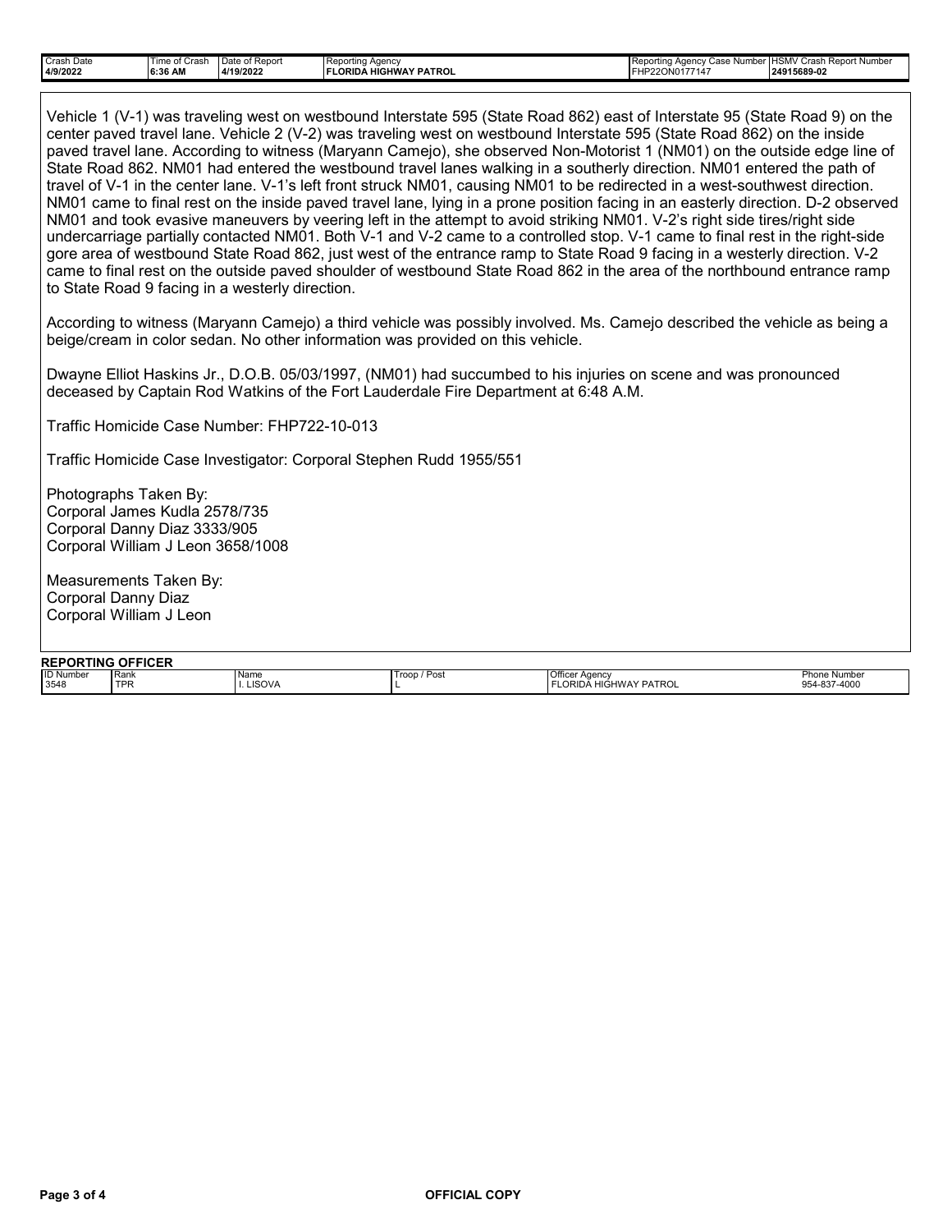|  | Crash Date<br>4/9/2022 | ime of<br>Crash<br>6:36 AM | Date of Report<br>4/19/2022 | Agency<br>I Reporting<br><b>\ HIGHWAY PATROL</b><br>LORIDA I" | ำrting Agencv ง<br>IRepo<br>`aca<br>Numb<br><b>UdSt</b><br>177147<br>22ON0<br>.<br>. . | Report Number<br>LICA <sub>1</sub><br>' Crash<br>ுr IHS⊾.<br>24915689-02 |
|--|------------------------|----------------------------|-----------------------------|---------------------------------------------------------------|----------------------------------------------------------------------------------------|--------------------------------------------------------------------------|
|--|------------------------|----------------------------|-----------------------------|---------------------------------------------------------------|----------------------------------------------------------------------------------------|--------------------------------------------------------------------------|

Vehicle 1 (V-1) was traveling west on westbound Interstate 595 (State Road 862) east of Interstate 95 (State Road 9) on the center paved travel lane. Vehicle 2 (V-2) was traveling west on westbound Interstate 595 (State Road 862) on the inside paved travel lane. According to witness (Maryann Camejo), she observed Non-Motorist 1 (NM01) on the outside edge line of State Road 862. NM01 had entered the westbound travel lanes walking in a southerly direction. NM01 entered the path of travel of V-1 in the center lane. V-1's left front struck NM01, causing NM01 to be redirected in a west-southwest direction. NM01 came to final rest on the inside paved travel lane, lying in a prone position facing in an easterly direction. D-2 observed NM01 and took evasive maneuvers by veering left in the attempt to avoid striking NM01. V-2's right side tires/right side undercarriage partially contacted NM01. Both V-1 and V-2 came to a controlled stop. V-1 came to final rest in the right-side gore area of westbound State Road 862, just west of the entrance ramp to State Road 9 facing in a westerly direction. V-2 came to final rest on the outside paved shoulder of westbound State Road 862 in the area of the northbound entrance ramp to State Road 9 facing in a westerly direction.

According to witness (Maryann Camejo) a third vehicle was possibly involved. Ms. Camejo described the vehicle as being a beige/cream in color sedan. No other information was provided on this vehicle.

Dwayne Elliot Haskins Jr., D.O.B. 05/03/1997, (NM01) had succumbed to his injuries on scene and was pronounced deceased by Captain Rod Watkins of the Fort Lauderdale Fire Department at 6:48 A.M.

Traffic Homicide Case Number: FHP722-10-013

Traffic Homicide Case Investigator: Corporal Stephen Rudd 1955/551

Photographs Taken By: Corporal James Kudla 2578/735 Corporal Danny Diaz 3333/905 Corporal William J Leon 3658/1008

Measurements Taken By: Corporal Danny Diaz Corporal William J Leon

| <b>OFFICER</b><br><b>REPOR</b><br>TING |            |        |              |                        |                     |  |  |  |  |
|----------------------------------------|------------|--------|--------------|------------------------|---------------------|--|--|--|--|
| <b>ID Number</b>                       | 'Rank      | ' Name | Troop / Post | <b>Officer Agency</b>  | <b>Phone Number</b> |  |  |  |  |
| 3548                                   | <b>TPR</b> | LISOVA |              | FLORIDÁ HIGHWAY PATROL | 954-837-4000        |  |  |  |  |